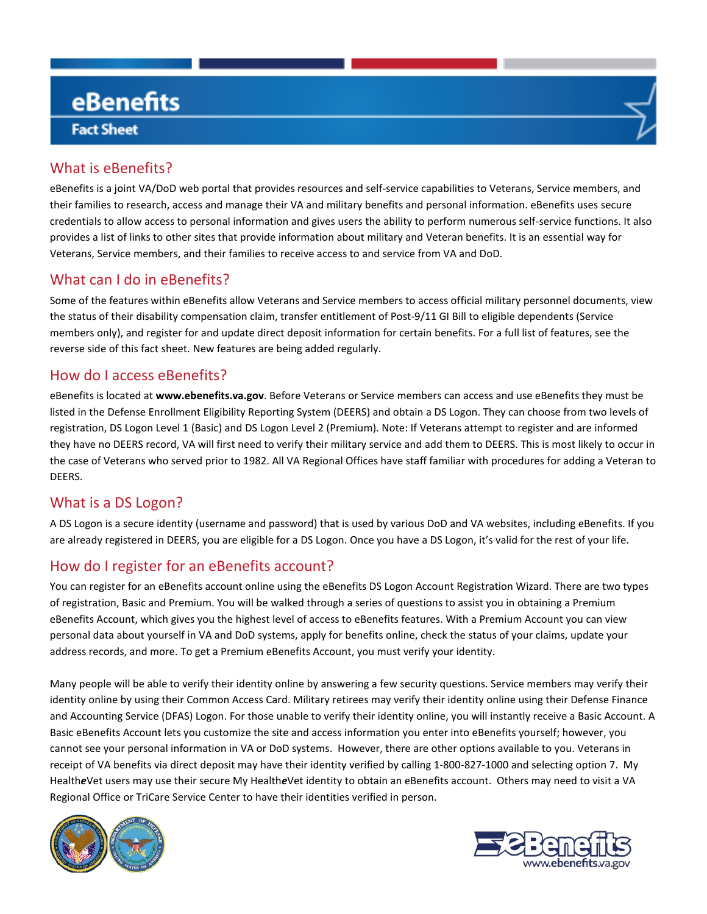# eBenefits **Fact Sheet**

## What is eBenefits?

eBenefits is a joint VA/DoD web portal that provides resources and self-service capabilities to Veterans, Service members, and their families to research, access and manage their VA and military benefits and personal information. eBenefits uses secure credentials to allow access to personal information and gives users the ability to perform numerous self-service functions. It also provides a list of links to other sites that provide information about military and Veteran benefits. It is an essential way for Veterans, Service members, and their families to receive access to and service from VA and DoD.

### What can I do in eBenefits?

Some of the features within eBenefits allow Veterans and Service members to access official military personnel documents, view the status of their disability compensation claim, transfer entitlement of Post-9/11 GI Bill to eligible dependents (Service members only), and register for and update direct deposit information for certain benefits. For a full list of features, see the reverse side of this fact sheet. New features are being added regularly.

### How do I access eBenefits?

eBenefits is located at **www.ebenefits.va.gov**. Before Veterans or Service members can access and use eBenefits they must be listed in the Defense Enrollment Eligibility Reporting System (DEERS) and obtain a DS Logon. They can choose from two levels of registration, DS Logon Level 1 (Basic) and DS Logon Level 2 (Premium). Note: If Veterans attempt to register and are informed they have no DEERS record, VA will first need to verify their military service and add them to DEERS. This is most likely to occur in the case of Veterans who served prior to 1982. All VA Regional Offices have staff familiar with procedures for adding a Veteran to DEERS.

### What is a DS Logon?

A DS Logon is a secure identity (username and password) that is used by various DoD and VA websites, including eBenefits. If you are already registered in DEERS, you are eligible for a DS Logon. Once you have a DS Logon, it's valid for the rest of your life.

### How do I register for an eBenefits account?

You can register for an eBenefits account online using the eBenefits DS Logon Account Registration Wizard. There are two types of registration, Basic and Premium. You will be walked through a series of questions to assist you in obtaining a Premium eBenefits Account, which gives you the highest level of access to eBenefits features. With a Premium Account you can view personal data about yourself in VA and DoD systems, apply for benefits online, check the status of your claims, update your address records, and more. To get a Premium eBenefits Account, you must verify your identity.

Many people will be able to verify their identity online by answering a few security questions. Service members may verify their identity online by using their Common Access Card. Military retirees may verify their identity online using their Defense Finance and Accounting Service (DFAS) Logon. For those unable to verify their identity online, you will instantly receive a Basic Account. A Basic eBenefits Account lets you customize the site and access information you enter into eBenefits yourself; however, you cannot see your personal information in VA or DoD systems. However, there are other options available to you. Veterans in receipt of VA benefits via direct deposit may have their identity verified by calling 1-800-827-1000 and selecting option 7. My Health*e*Vet users may use their secure My Health*e*Vet identity to obtain an eBenefits account. Others may need to visit a VA Regional Office or TriCare Service Center to have their identities verified in person.